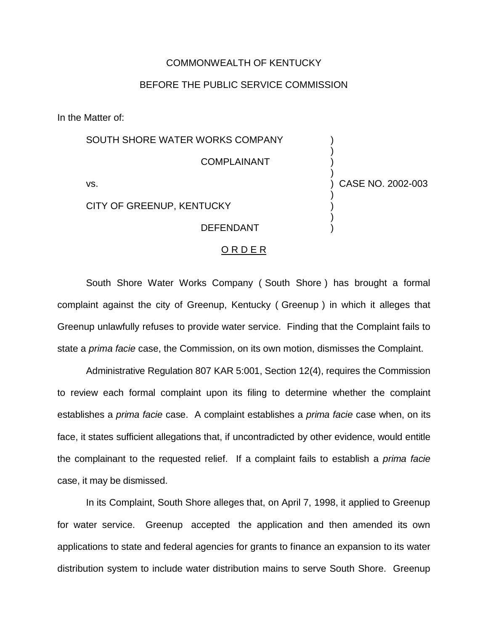## COMMONWEALTH OF KENTUCKY

## BEFORE THE PUBLIC SERVICE COMMISSION

In the Matter of:

SOUTH SHORE WATER WORKS COMPANY COMPLAINANT vs. CITY OF GREENUP, KENTUCKY DEFENDANT ) ) ) ) ) CASE NO. 2002-003 ) ) ) )

## ORDER

South Shore Water Works Company ( South Shore ) has brought a formal complaint against the city of Greenup, Kentucky ( Greenup ) in which it alleges that Greenup unlawfully refuses to provide water service. Finding that the Complaint fails to state a *prima facie* case, the Commission, on its own motion, dismisses the Complaint.

Administrative Regulation 807 KAR 5:001, Section 12(4), requires the Commission to review each formal complaint upon its filing to determine whether the complaint establishes a *prima facie* case. A complaint establishes a *prima facie* case when, on its face, it states sufficient allegations that, if uncontradicted by other evidence, would entitle the complainant to the requested relief. If a complaint fails to establish a *prima facie* case, it may be dismissed.

In its Complaint, South Shore alleges that, on April 7, 1998, it applied to Greenup for water service. Greenup accepted the application and then amended its own applications to state and federal agencies for grants to finance an expansion to its water distribution system to include water distribution mains to serve South Shore. Greenup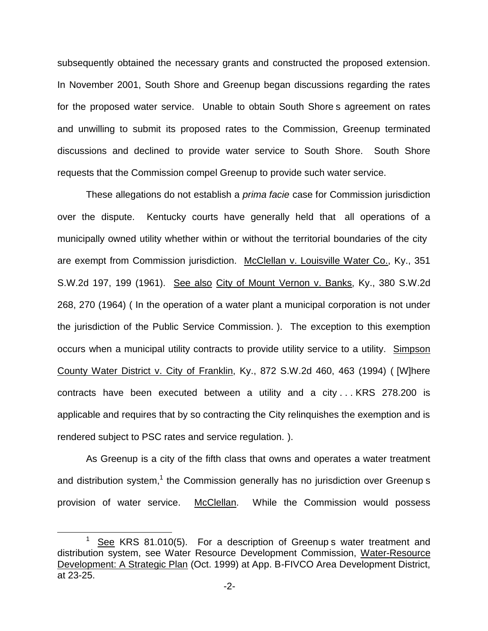subsequently obtained the necessary grants and constructed the proposed extension. In November 2001, South Shore and Greenup began discussions regarding the rates for the proposed water service. Unable to obtain South Shore s agreement on rates and unwilling to submit its proposed rates to the Commission, Greenup terminated discussions and declined to provide water service to South Shore. South Shore requests that the Commission compel Greenup to provide such water service.

These allegations do not establish a *prima facie* case for Commission jurisdiction over the dispute. Kentucky courts have generally held that all operations of a municipally owned utility whether within or without the territorial boundaries of the city are exempt from Commission jurisdiction. McClellan v. Louisville Water Co., Ky., 351 S.W.2d 197, 199 (1961). See also City of Mount Vernon v. Banks, Ky., 380 S.W.2d 268, 270 (1964) ( In the operation of a water plant a municipal corporation is not under the jurisdiction of the Public Service Commission. ). The exception to this exemption occurs when a municipal utility contracts to provide utility service to a utility. Simpson County Water District v. City of Franklin, Ky., 872 S.W.2d 460, 463 (1994) ( [W]here contracts have been executed between a utility and a city . . . KRS 278.200 is applicable and requires that by so contracting the City relinquishes the exemption and is rendered subject to PSC rates and service regulation. ).

As Greenup is a city of the fifth class that owns and operates a water treatment and distribution system,<sup>1</sup> the Commission generally has no jurisdiction over Greenup s provision of water service. McClellan. While the Commission would possess

 $1$  See KRS 81.010(5). For a description of Greenup s water treatment and distribution system, see Water Resource Development Commission, Water-Resource Development: A Strategic Plan (Oct. 1999) at App. B-FIVCO Area Development District, at 23-25.